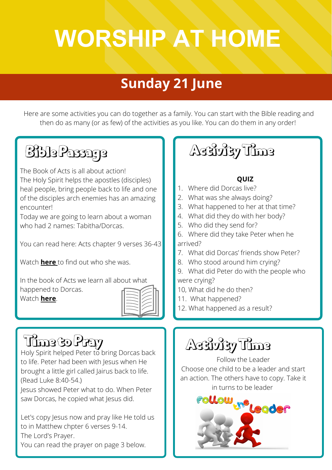# **POWER HOUSE KIDS WORSHIP AT HOME**

#### **21 June 2020 7 June 2020 Sunday 21 June**

Here are some activities you can do together as a family. You can start with the Bible reading and then do as many (or as few) of the activities as you like. You can do them in any order!

## Bible Passage

The Book of Acts is all about action! The Holy Spirit helps the apostles (disciples) heal people, bring people back to life and one of the disciples arch enemies has an amazing encounter!

Today we are going to learn about a woman who had 2 names: Tabitha/Dorcas.

You can read here: Acts chapter 9 verses 36-43

Watch **[here](https://www.youtube.com/watch?v=UPr0O6hnwQ4&list=PL5aPdmniG3y_n7hXEKTV4qQnIeCe-p6Ws&index=90)** to find out who she was.

In the book of Acts we learn all about what happened to Dorcas. Watch **[here](https://www.youtube.com/watch?v=QhlRTne06es)**.



Holy Spirit helped Peter to bring Dorcas back to life. Peter had been with Jesus when He brought a little girl called Jairus back to life. (Read Luke 8:40-54.)

Jesus showed Peter what to do. When Peter saw Dorcas, he copied what Jesus did.

Let's copy Jesus now and pray like He told us to in Matthew chpter 6 verses 9-14. The Lord's Prayer.

You can read the prayer on page 3 below.

#### Activity Time

#### **QUIZ**

- 1. Where did Dorcas live?
- 2. What was she always doing?
- 3. What happened to her at that time?
- 4. What did they do with her body?
- 5. Who did they send for?
- 6. Where did they take Peter when he arrived?
- 7. What did Dorcas' friends show Peter?
- 8. Who stood around him crying?
- 9. What did Peter do with the people who were crying?
- 10, What did he do then?
- 11. What happened?
- 12. What happened as a result?

## Timeto Pray | | Activity Time

Follow the Leader Choose one child to be a leader and start an action. The others have to copy. Take it in turns to be leader

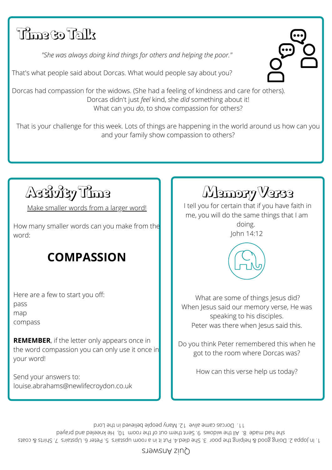#### Timeto Talk

*"She was always doing kind things for others and helping the poor."*

That's what people said about Dorcas. What would people say about you?

Dorcas had compassion for the widows. (She had a feeling of kindness and care for others). Dorcas didn't just *feel* kind, she *did* something about it! What can you *do*, to show compassion for others?

That is your challenge for this week. Lots of things are happening in the world around us how can you and your family show compassion to others?

Activity Time

Make smaller words from a larger word!

How many smaller words can you make from the word:

#### **COMPASSION**

Here are a few to start you off: pass map compass

**REMEMBER**, if the letter only appears once in the word compassion you can only use it once in your word!

Send your answers to: louise.abrahams@newlifecroydon.co.uk Memory Verse

I tell you for certain that if you have faith in me, you will do the same things that I am doing.

John 14:12



What are some of things Jesus did? When Jesus said our memory verse, He was speaking to his disciples. Peter was there when Jesus said this.

Do you think Peter remembered this when he got to the room where Dorcas was?

How can this verse help us today?

at a sput and sput is the sput spub and spub a sput of sput is sput of the spit sput in the space of the space of the space of the space of the space of the space of the space of the space of the space of the space of the deyar paysing purified widows 9. Sent them out of the room 10, He kneeled and prayed and the came alive 12. Many people believed in the Lord